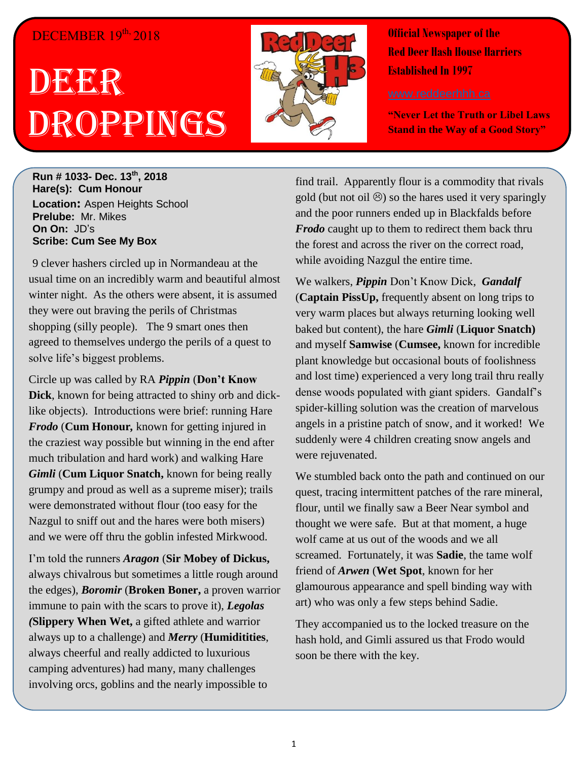## DECEMBER 19<sup>th,</sup> 2018

## DEERR Droppings



**Official Newspaper of the Red Deer Hash House Harriers Established In 1997** 

**"Never Let the Truth or Libel Laws Stand in the Way of a Good Story"**

**Run # 1033- Dec. 13th, 2018 Hare(s): Cum Honour Location:** Aspen Heights School **Prelube:** Mr. Mikes **On On:** JD's **Scribe: Cum See My Box**

9 clever hashers circled up in Normandeau at the usual time on an incredibly warm and beautiful almost winter night. As the others were absent, it is assumed they were out braving the perils of Christmas shopping (silly people). The 9 smart ones then agreed to themselves undergo the perils of a quest to solve life's biggest problems.

Circle up was called by RA *Pippin* (**Don't Know Dick**, known for being attracted to shiny orb and dicklike objects). Introductions were brief: running Hare *Frodo* (**Cum Honour***,* known for getting injured in the craziest way possible but winning in the end after much tribulation and hard work) and walking Hare *Gimli* (**Cum Liquor Snatch,** known for being really grumpy and proud as well as a supreme miser); trails were demonstrated without flour (too easy for the Nazgul to sniff out and the hares were both misers) and we were off thru the goblin infested Mirkwood.

I'm told the runners *Aragon* (**Sir Mobey of Dickus,**  always chivalrous but sometimes a little rough around the edges), *Boromir* (**Broken Boner,** a proven warrior immune to pain with the scars to prove it), *Legolas (***Slippery When Wet,** a gifted athlete and warrior always up to a challenge) and *Merry* (**Humiditities**, always cheerful and really addicted to luxurious camping adventures) had many, many challenges involving orcs, goblins and the nearly impossible to

find trail. Apparently flour is a commodity that rivals gold (but not oil  $\circledcirc$ ) so the hares used it very sparingly and the poor runners ended up in Blackfalds before *Frodo* caught up to them to redirect them back thru the forest and across the river on the correct road, while avoiding Nazgul the entire time.

We walkers, *Pippin* Don't Know Dick, *Gandalf*  (**Captain PissUp,** frequently absent on long trips to very warm places but always returning looking well baked but content), the hare *Gimli* (**Liquor Snatch)**  and myself **Samwise** (**Cumsee,** known for incredible plant knowledge but occasional bouts of foolishness and lost time) experienced a very long trail thru really dense woods populated with giant spiders. Gandalf's spider-killing solution was the creation of marvelous angels in a pristine patch of snow, and it worked! We suddenly were 4 children creating snow angels and were rejuvenated.

We stumbled back onto the path and continued on our quest, tracing intermittent patches of the rare mineral, flour, until we finally saw a Beer Near symbol and thought we were safe. But at that moment, a huge wolf came at us out of the woods and we all screamed. Fortunately, it was **Sadie**, the tame wolf friend of *Arwen* (**Wet Spot**, known for her glamourous appearance and spell binding way with art) who was only a few steps behind Sadie.

They accompanied us to the locked treasure on the hash hold, and Gimli assured us that Frodo would soon be there with the key.